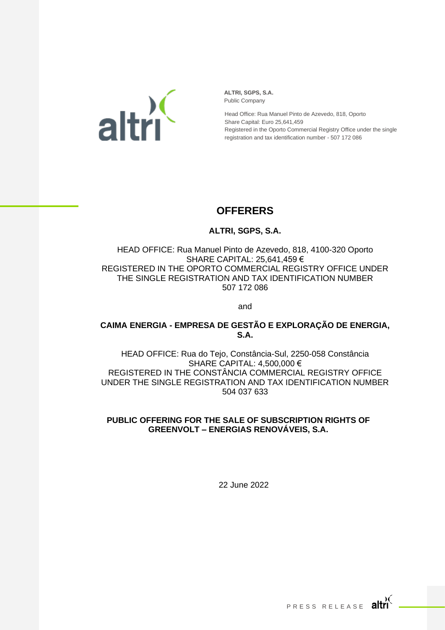

**ALTRI, SGPS, S.A.** Public Company

Head Office: Rua Manuel Pinto de Azevedo, 818, Oporto Share Capital: Euro 25,641,459 Registered in the Oporto Commercial Registry Office under the single registration and tax identification number - 507 172 086

## **OFFERERS**

## **ALTRI, SGPS, S.A.**

HEAD OFFICE: Rua Manuel Pinto de Azevedo, 818, 4100-320 Oporto SHARE CAPITAL: 25,641,459 € REGISTERED IN THE OPORTO COMMERCIAL REGISTRY OFFICE UNDER THE SINGLE REGISTRATION AND TAX IDENTIFICATION NUMBER 507 172 086

and

**CAIMA ENERGIA - EMPRESA DE GESTÃO E EXPLORAÇÃO DE ENERGIA, S.A.**

HEAD OFFICE: Rua do Tejo, Constância-Sul, 2250-058 Constância SHARE CAPITAL: 4,500,000 € REGISTERED IN THE CONSTÂNCIA COMMERCIAL REGISTRY OFFICE UNDER THE SINGLE REGISTRATION AND TAX IDENTIFICATION NUMBER 504 037 633

## **PUBLIC OFFERING FOR THE SALE OF SUBSCRIPTION RIGHTS OF GREENVOLT – ENERGIAS RENOVÁVEIS, S.A.**

22 June 2022

PRESS RELEASE altri